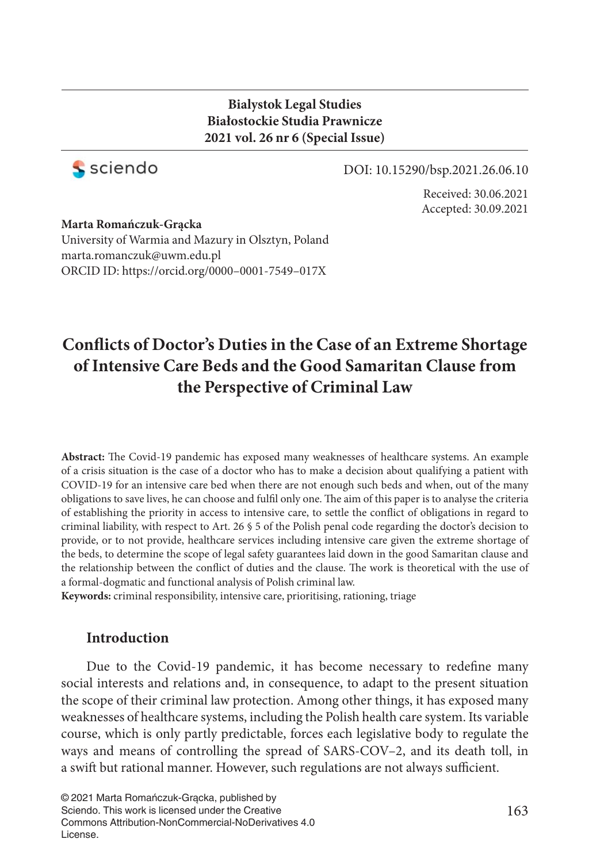## **Bialystok Legal Studies Białostockie Studia Prawnicze 2021 vol. 26 nr 6 (Special Issue)**



### DOI: 10.15290/bsp.2021.26.06.10

Received: 30.06.2021 Accepted: 30.09.2021

### **Marta Romańczuk-Grącka** University of Warmia and Mazury in Olsztyn, Poland marta.romanczuk@uwm.edu.pl ORCID ID: https://orcid.org/0000–0001-7549–017X

# **Confl icts of Doctor's Duties in the Case of an Extreme Shortage of Intensive Care Beds and the Good Samaritan Clause from the Perspective of Criminal Law**

Abstract: The Covid-19 pandemic has exposed many weaknesses of healthcare systems. An example of a crisis situation is the case of a doctor who has to make a decision about qualifying a patient with COVID-19 for an intensive care bed when there are not enough such beds and when, out of the many obligations to save lives, he can choose and fulfil only one. The aim of this paper is to analyse the criteria of establishing the priority in access to intensive care, to settle the conflict of obligations in regard to criminal liability, with respect to Art. 26 § 5 of the Polish penal code regarding the doctor's decision to provide, or to not provide, healthcare services including intensive care given the extreme shortage of the beds, to determine the scope of legal safety guarantees laid down in the good Samaritan clause and the relationship between the conflict of duties and the clause. The work is theoretical with the use of a formal-dogmatic and functional analysis of Polish criminal law.

**Keywords:** criminal responsibility, intensive care, prioritising, rationing, triage

## **Introduction**

Due to the Covid-19 pandemic, it has become necessary to redefine many social interests and relations and, in consequence, to adapt to the present situation the scope of their criminal law protection. Among other things, it has exposed many weaknesses of healthcare systems, including the Polish health care system. Its variable course, which is only partly predictable, forces each legislative body to regulate the ways and means of controlling the spread of SARS-COV–2, and its death toll, in a swift but rational manner. However, such regulations are not always sufficient.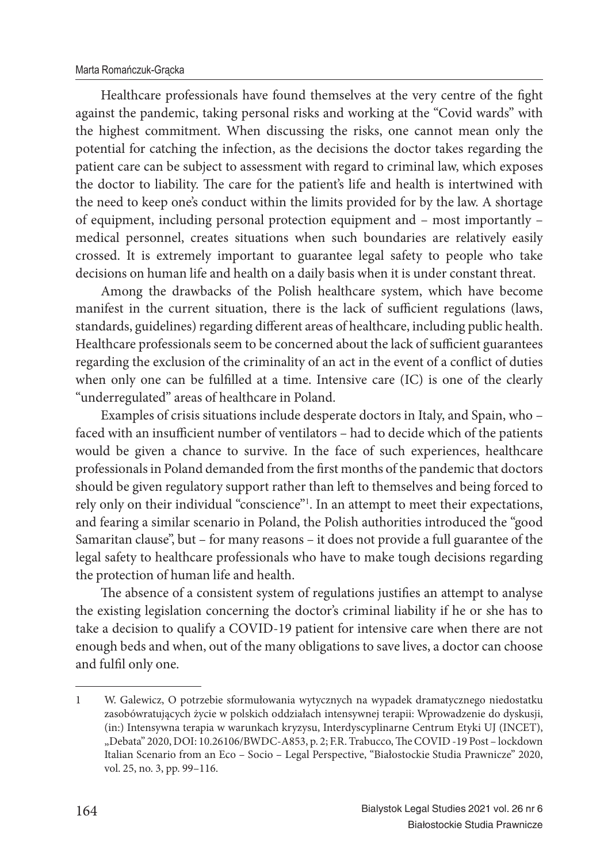#### Marta Romańczuk-Grącka

Healthcare professionals have found themselves at the very centre of the fight against the pandemic, taking personal risks and working at the "Covid wards" with the highest commitment. When discussing the risks, one cannot mean only the potential for catching the infection, as the decisions the doctor takes regarding the patient care can be subject to assessment with regard to criminal law, which exposes the doctor to liability. The care for the patient's life and health is intertwined with the need to keep one's conduct within the limits provided for by the law. A shortage of equipment, including personal protection equipment and – most importantly – medical personnel, creates situations when such boundaries are relatively easily crossed. It is extremely important to guarantee legal safety to people who take decisions on human life and health on a daily basis when it is under constant threat.

Among the drawbacks of the Polish healthcare system, which have become manifest in the current situation, there is the lack of sufficient regulations (laws, standards, guidelines) regarding different areas of healthcare, including public health. Healthcare professionals seem to be concerned about the lack of sufficient guarantees regarding the exclusion of the criminality of an act in the event of a conflict of duties when only one can be fulfilled at a time. Intensive care (IC) is one of the clearly "underregulated" areas of healthcare in Poland.

Examples of crisis situations include desperate doctors in Italy, and Spain, who – faced with an insufficient number of ventilators - had to decide which of the patients would be given a chance to survive. In the face of such experiences, healthcare professionals in Poland demanded from the first months of the pandemic that doctors should be given regulatory support rather than left to themselves and being forced to rely only on their individual "conscience"<sup>1</sup>. In an attempt to meet their expectations, and fearing a similar scenario in Poland, the Polish authorities introduced the "good Samaritan clause", but – for many reasons – it does not provide a full guarantee of the legal safety to healthcare professionals who have to make tough decisions regarding the protection of human life and health.

The absence of a consistent system of regulations justifies an attempt to analyse the existing legislation concerning the doctor's criminal liability if he or she has to take a decision to qualify a COVID-19 patient for intensive care when there are not enough beds and when, out of the many obligations to save lives, a doctor can choose and fulfil only one.

<sup>1</sup> W. Galewicz, O potrzebie sformułowania wytycznych na wypadek dramatycznego niedostatku zasobówratujących życie w polskich oddziałach intensywnej terapii: Wprowadzenie do dyskusji, (in:) Intensywna terapia w warunkach kryzysu, Interdyscyplinarne Centrum Etyki UJ (INCET), "Debata" 2020, DOI: 10.26106/BWDC-A853, p. 2; F.R. Trabucco, The COVID-19 Post-lockdown Italian Scenario from an Eco – Socio – Legal Perspective, "Białostockie Studia Prawnicze" 2020, vol. 25, no. 3, pp. 99–116.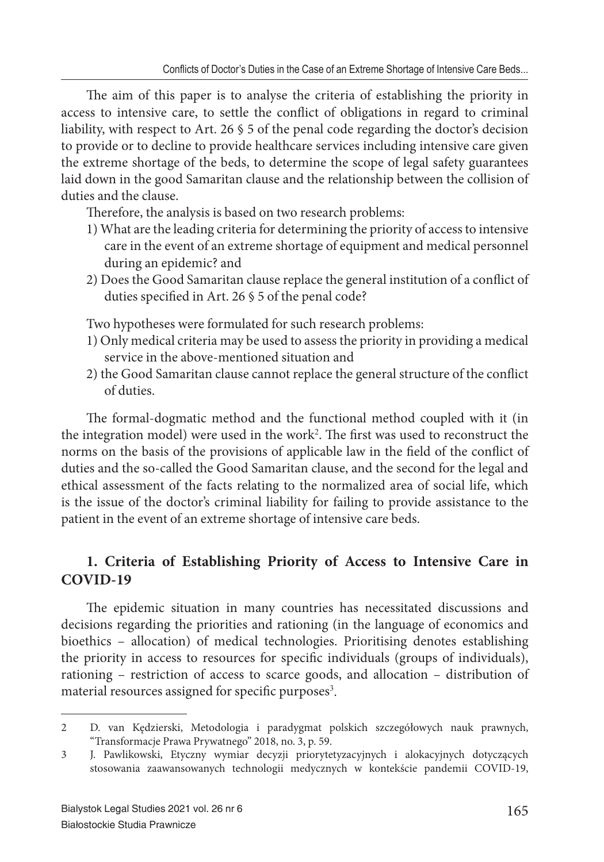The aim of this paper is to analyse the criteria of establishing the priority in access to intensive care, to settle the conflict of obligations in regard to criminal liability, with respect to Art. 26 § 5 of the penal code regarding the doctor's decision to provide or to decline to provide healthcare services including intensive care given the extreme shortage of the beds, to determine the scope of legal safety guarantees laid down in the good Samaritan clause and the relationship between the collision of duties and the clause.

Therefore, the analysis is based on two research problems:

- 1) What are the leading criteria for determining the priority of access to intensive care in the event of an extreme shortage of equipment and medical personnel during an epidemic? and
- 2) Does the Good Samaritan clause replace the general institution of a conflict of duties specified in Art. 26 § 5 of the penal code?

Two hypotheses were formulated for such research problems:

- 1) Only medical criteria may be used to assess the priority in providing a medical service in the above-mentioned situation and
- 2) the Good Samaritan clause cannot replace the general structure of the conflict of duties.

The formal-dogmatic method and the functional method coupled with it (in the integration model) were used in the work<sup>2</sup>. The first was used to reconstruct the norms on the basis of the provisions of applicable law in the field of the conflict of duties and the so-called the Good Samaritan clause, and the second for the legal and ethical assessment of the facts relating to the normalized area of social life, which is the issue of the doctor's criminal liability for failing to provide assistance to the patient in the event of an extreme shortage of intensive care beds.

## **1. Criteria of Establishing Priority of Access to Intensive Care in COVID-19**

The epidemic situation in many countries has necessitated discussions and decisions regarding the priorities and rationing (in the language of economics and bioethics – allocation) of medical technologies. Prioritising denotes establishing the priority in access to resources for specific individuals (groups of individuals), rationing – restriction of access to scarce goods, and allocation – distribution of material resources assigned for specific purposes<sup>3</sup>.

<sup>2</sup> D. van Kędzierski, Metodologia i paradygmat polskich szczegółowych nauk prawnych, "Transformacje Prawa Prywatnego" 2018, no. 3, p. 59.

<sup>3</sup> J. Pawlikowski, Etyczny wymiar decyzji priorytetyzacyjnych i alokacyjnych dotyczących stosowania zaawansowanych technologii medycznych w kontekście pandemii COVID-19,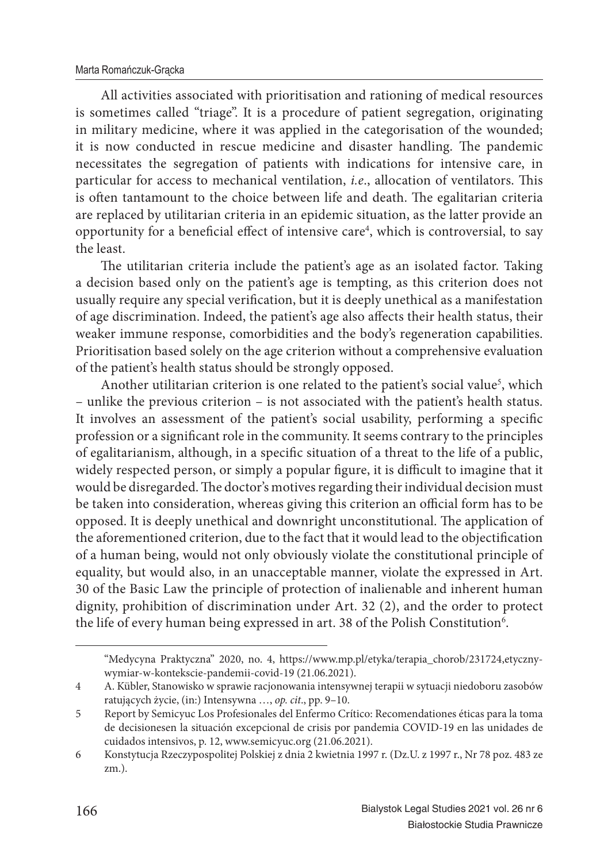All activities associated with prioritisation and rationing of medical resources is sometimes called "triage". It is a procedure of patient segregation, originating in military medicine, where it was applied in the categorisation of the wounded; it is now conducted in rescue medicine and disaster handling. The pandemic necessitates the segregation of patients with indications for intensive care, in particular for access to mechanical ventilation, *i.e.*, allocation of ventilators. This is often tantamount to the choice between life and death. The egalitarian criteria are replaced by utilitarian criteria in an epidemic situation, as the latter provide an opportunity for a beneficial effect of intensive care<sup>4</sup>, which is controversial, to say the least.

The utilitarian criteria include the patient's age as an isolated factor. Taking a decision based only on the patient's age is tempting, as this criterion does not usually require any special verification, but it is deeply unethical as a manifestation of age discrimination. Indeed, the patient's age also affects their health status, their weaker immune response, comorbidities and the body's regeneration capabilities. Prioritisation based solely on the age criterion without a comprehensive evaluation of the patient's health status should be strongly opposed.

Another utilitarian criterion is one related to the patient's social value<sup>5</sup>, which – unlike the previous criterion – is not associated with the patient's health status. It involves an assessment of the patient's social usability, performing a specific profession or a significant role in the community. It seems contrary to the principles of egalitarianism, although, in a specific situation of a threat to the life of a public, widely respected person, or simply a popular figure, it is difficult to imagine that it would be disregarded. The doctor's motives regarding their individual decision must be taken into consideration, whereas giving this criterion an official form has to be opposed. It is deeply unethical and downright unconstitutional. The application of the aforementioned criterion, due to the fact that it would lead to the objectification of a human being, would not only obviously violate the constitutional principle of equality, but would also, in an unacceptable manner, violate the expressed in Art. 30 of the Basic Law the principle of protection of inalienable and inherent human dignity, prohibition of discrimination under Art. 32 (2), and the order to protect the life of every human being expressed in art. 38 of the Polish Constitution $^6$ .

<sup>&</sup>quot;Medycyna Praktyczna" 2020, no. 4, https://www.mp.pl/etyka/terapia\_chorob/231724,etycznywymiar-w-kontekscie-pandemii-covid-19 (21.06.2021).

<sup>4</sup> A. Kübler, Stanowisko w sprawie racjonowania intensywnej terapii w sytuacji niedoboru zasobów ratujących życie, (in:) Intensywna …, *op. cit*., pp. 9–10.

<sup>5</sup> Report by Semicyuc Los Profesionales del Enfermo Crítico: Recomendationes éticas para la toma de decisionesen la situación excepcional de crisis por pandemia COVID-19 en las unidades de cuidados intensivos, p. 12, www.semicyuc.org (21.06.2021).

<sup>6</sup> Konstytucja Rzeczypospolitej Polskiej z dnia 2 kwietnia 1997 r. (Dz.U. z 1997 r., Nr 78 poz. 483 ze zm.).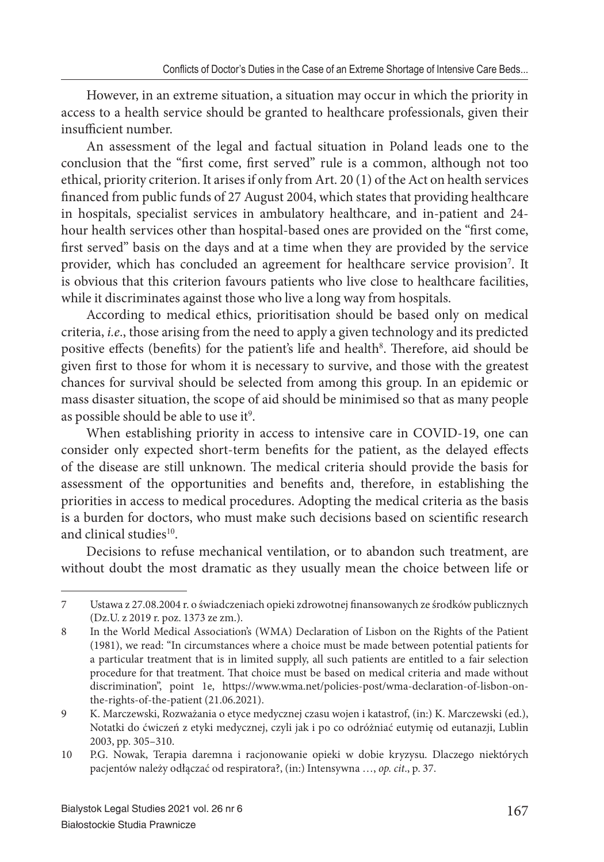However, in an extreme situation, a situation may occur in which the priority in access to a health service should be granted to healthcare professionals, given their insufficient number.

An assessment of the legal and factual situation in Poland leads one to the conclusion that the "first come, first served" rule is a common, although not too ethical, priority criterion. It arises if only from Art. 20 (1) of the Act on health services financed from public funds of 27 August 2004, which states that providing healthcare in hospitals, specialist services in ambulatory healthcare, and in-patient and 24 hour health services other than hospital-based ones are provided on the "first come, first served" basis on the days and at a time when they are provided by the service provider, which has concluded an agreement for healthcare service provision<sup>7</sup>. It is obvious that this criterion favours patients who live close to healthcare facilities, while it discriminates against those who live a long way from hospitals.

According to medical ethics, prioritisation should be based only on medical criteria, *i.e*., those arising from the need to apply a given technology and its predicted positive effects (benefits) for the patient's life and health<sup>8</sup>. Therefore, aid should be given first to those for whom it is necessary to survive, and those with the greatest chances for survival should be selected from among this group. In an epidemic or mass disaster situation, the scope of aid should be minimised so that as many people as possible should be able to use it $^9$ .

When establishing priority in access to intensive care in COVID-19, one can consider only expected short-term benefits for the patient, as the delayed effects of the disease are still unknown. The medical criteria should provide the basis for assessment of the opportunities and benefits and, therefore, in establishing the priorities in access to medical procedures. Adopting the medical criteria as the basis is a burden for doctors, who must make such decisions based on scientific research and clinical studies<sup>10</sup>.

Decisions to refuse mechanical ventilation, or to abandon such treatment, are without doubt the most dramatic as they usually mean the choice between life or

<sup>7</sup> Ustawa z 27.08.2004 r. o świadczeniach opieki zdrowotnej fi nansowanych ze środków publicznych (Dz.U. z 2019 r. poz. 1373 ze zm.).

<sup>8</sup> In the World Medical Association's (WMA) Declaration of Lisbon on the Rights of the Patient (1981), we read: "In circumstances where a choice must be made between potential patients for a particular treatment that is in limited supply, all such patients are entitled to a fair selection procedure for that treatment. That choice must be based on medical criteria and made without discrimination", point 1e, https://www.wma.net/policies-post/wma-declaration-of-lisbon-onthe-rights-of-the-patient (21.06.2021).

<sup>9</sup> K. Marczewski, Rozważania o etyce medycznej czasu wojen i katastrof, (in:) K. Marczewski (ed.), Notatki do ćwiczeń z etyki medycznej, czyli jak i po co odróżniać eutymię od eutanazji, Lublin 2003, pp. 305–310.

<sup>10</sup> P.G. Nowak, Terapia daremna i racjonowanie opieki w dobie kryzysu. Dlaczego niektórych pacjentów należy odłączać od respiratora?, (in:) Intensywna …, *op. cit*., p. 37.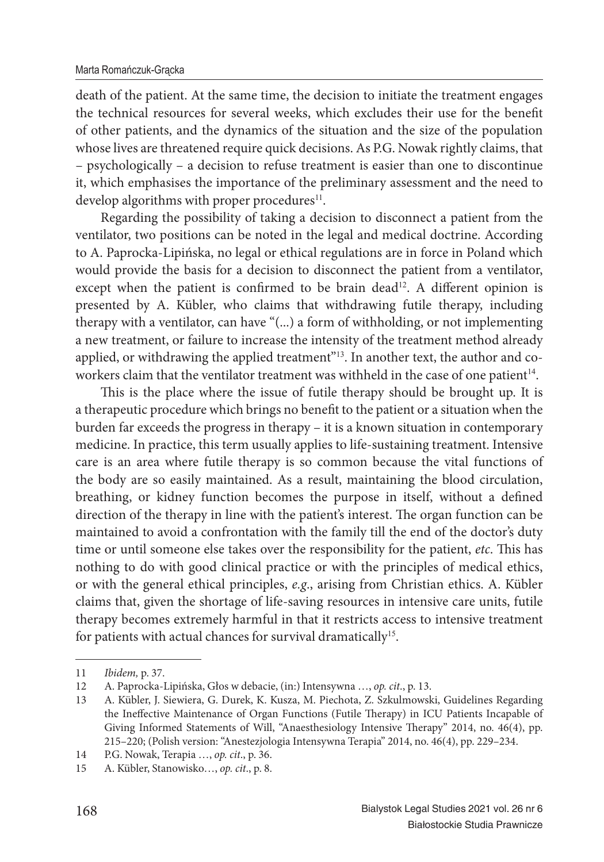death of the patient. At the same time, the decision to initiate the treatment engages the technical resources for several weeks, which excludes their use for the benefit of other patients, and the dynamics of the situation and the size of the population whose lives are threatened require quick decisions. As P.G. Nowak rightly claims, that – psychologically – a decision to refuse treatment is easier than one to discontinue it, which emphasises the importance of the preliminary assessment and the need to develop algorithms with proper procedures $11$ .

Regarding the possibility of taking a decision to disconnect a patient from the ventilator, two positions can be noted in the legal and medical doctrine. According to A. Paprocka-Lipińska, no legal or ethical regulations are in force in Poland which would provide the basis for a decision to disconnect the patient from a ventilator, except when the patient is confirmed to be brain dead<sup>12</sup>. A different opinion is presented by A. Kübler, who claims that withdrawing futile therapy, including therapy with a ventilator, can have "(...) a form of withholding, or not implementing a new treatment, or failure to increase the intensity of the treatment method already applied, or withdrawing the applied treatment"<sup>13</sup>. In another text, the author and coworkers claim that the ventilator treatment was withheld in the case of one patient<sup>14</sup>.

This is the place where the issue of futile therapy should be brought up. It is a therapeutic procedure which brings no benefit to the patient or a situation when the burden far exceeds the progress in therapy – it is a known situation in contemporary medicine. In practice, this term usually applies to life-sustaining treatment. Intensive care is an area where futile therapy is so common because the vital functions of the body are so easily maintained. As a result, maintaining the blood circulation, breathing, or kidney function becomes the purpose in itself, without a defined direction of the therapy in line with the patient's interest. The organ function can be maintained to avoid a confrontation with the family till the end of the doctor's duty time or until someone else takes over the responsibility for the patient, *etc*. This has nothing to do with good clinical practice or with the principles of medical ethics, or with the general ethical principles, *e.g*., arising from Christian ethics. A. Kübler claims that, given the shortage of life-saving resources in intensive care units, futile therapy becomes extremely harmful in that it restricts access to intensive treatment for patients with actual chances for survival dramatically<sup>15</sup>.

<sup>11</sup> *Ibidem,* p. 37.

<sup>12</sup> A. Paprocka-Lipińska, Głos w debacie, (in:) Intensywna …, *op. cit*., p. 13.

<sup>13</sup> A. Kübler, J. Siewiera, G. Durek, K. Kusza, M. Piechota, Z. Szkulmowski, Guidelines Regarding the Ineffective Maintenance of Organ Functions (Futile Therapy) in ICU Patients Incapable of Giving Informed Statements of Will, "Anaesthesiology Intensive Therapy" 2014, no. 46(4), pp. 215–220; (Polish version: "Anestezjologia Intensywna Terapia" 2014, no. 46(4), pp. 229–234.

<sup>14</sup> P.G. Nowak, Terapia …, *op. cit*., p. 36.

<sup>15</sup> A. Kübler, Stanowisko…, *op. cit*., p. 8.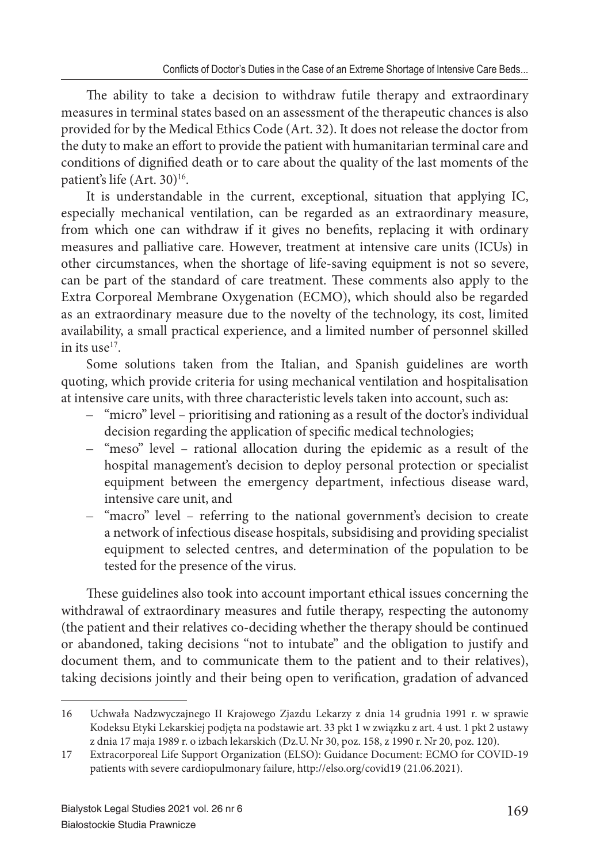The ability to take a decision to withdraw futile therapy and extraordinary measures in terminal states based on an assessment of the therapeutic chances is also provided for by the Medical Ethics Code (Art. 32). It does not release the doctor from the duty to make an effort to provide the patient with humanitarian terminal care and conditions of dignified death or to care about the quality of the last moments of the patient's life (Art. 30)<sup>16</sup>.

It is understandable in the current, exceptional, situation that applying IC, especially mechanical ventilation, can be regarded as an extraordinary measure, from which one can withdraw if it gives no benefits, replacing it with ordinary measures and palliative care. However, treatment at intensive care units (ICUs) in other circumstances, when the shortage of life-saving equipment is not so severe, can be part of the standard of care treatment. These comments also apply to the Extra Corporeal Membrane Oxygenation (ECMO), which should also be regarded as an extraordinary measure due to the novelty of the technology, its cost, limited availability, a small practical experience, and a limited number of personnel skilled in its use $17$ .

Some solutions taken from the Italian, and Spanish guidelines are worth quoting, which provide criteria for using mechanical ventilation and hospitalisation at intensive care units, with three characteristic levels taken into account, such as:

- "micro" level prioritising and rationing as a result of the doctor's individual decision regarding the application of specific medical technologies;
- "meso" level rational allocation during the epidemic as a result of the hospital management's decision to deploy personal protection or specialist equipment between the emergency department, infectious disease ward, intensive care unit, and
- "macro" level referring to the national government's decision to create a network of infectious disease hospitals, subsidising and providing specialist equipment to selected centres, and determination of the population to be tested for the presence of the virus.

These guidelines also took into account important ethical issues concerning the withdrawal of extraordinary measures and futile therapy, respecting the autonomy (the patient and their relatives co-deciding whether the therapy should be continued or abandoned, taking decisions "not to intubate" and the obligation to justify and document them, and to communicate them to the patient and to their relatives), taking decisions jointly and their being open to verification, gradation of advanced

<sup>16</sup> Uchwała Nadzwyczajnego II Krajowego Zjazdu Lekarzy z dnia 14 grudnia 1991 r. w sprawie Kodeksu Etyki Lekarskiej podjęta na podstawie art. 33 pkt 1 w związku z art. 4 ust. 1 pkt 2 ustawy z dnia 17 maja 1989 r. o izbach lekarskich (Dz.U. Nr 30, poz. 158, z 1990 r. Nr 20, poz. 120).

<sup>17</sup> Extracorporeal Life Support Organization (ELSO): Guidance Document: ECMO for COVID-19 patients with severe cardiopulmonary failure, http://elso.org/covid19 (21.06.2021).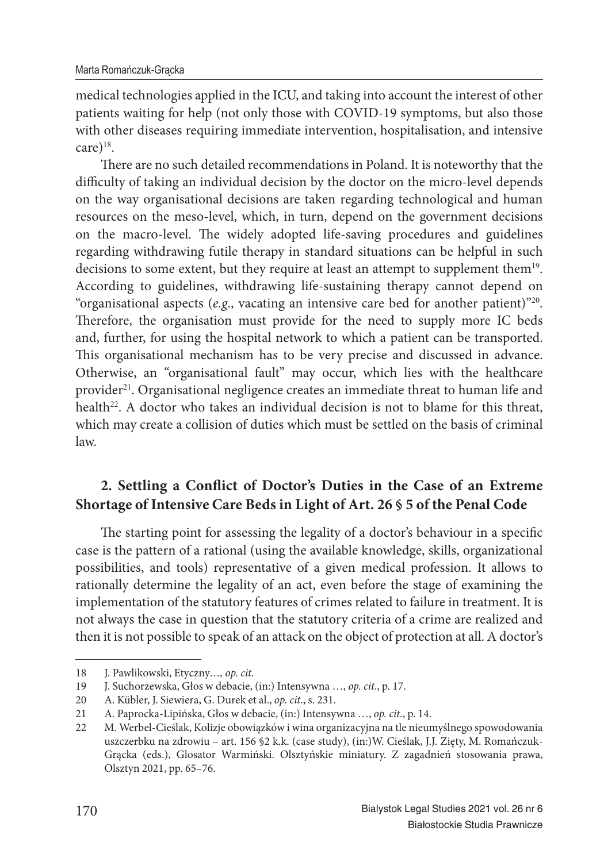medical technologies applied in the ICU, and taking into account the interest of other patients waiting for help (not only those with COVID-19 symptoms, but also those with other diseases requiring immediate intervention, hospitalisation, and intensive care) $18$ .

There are no such detailed recommendations in Poland. It is noteworthy that the difficulty of taking an individual decision by the doctor on the micro-level depends on the way organisational decisions are taken regarding technological and human resources on the meso-level, which, in turn, depend on the government decisions on the macro-level. The widely adopted life-saving procedures and guidelines regarding withdrawing futile therapy in standard situations can be helpful in such decisions to some extent, but they require at least an attempt to supplement them<sup>19</sup>. According to guidelines, withdrawing life-sustaining therapy cannot depend on "organisational aspects ( $e.g.,$  vacating an intensive care bed for another patient)<sup>"20</sup>. Therefore, the organisation must provide for the need to supply more IC beds and, further, for using the hospital network to which a patient can be transported. This organisational mechanism has to be very precise and discussed in advance. Otherwise, an "organisational fault" may occur, which lies with the healthcare provider<sup>21</sup>. Organisational negligence creates an immediate threat to human life and health<sup>22</sup>. A doctor who takes an individual decision is not to blame for this threat, which may create a collision of duties which must be settled on the basis of criminal law.

## 2. Settling a Conflict of Doctor's Duties in the Case of an Extreme **Shortage of Intensive Care Beds in Light of Art. 26 § 5 of the Penal Code**

The starting point for assessing the legality of a doctor's behaviour in a specific case is the pattern of a rational (using the available knowledge, skills, organizational possibilities, and tools) representative of a given medical profession. It allows to rationally determine the legality of an act, even before the stage of examining the implementation of the statutory features of crimes related to failure in treatment. It is not always the case in question that the statutory criteria of a crime are realized and then it is not possible to speak of an attack on the object of protection at all. A doctor's

<sup>18</sup> J. Pawlikowski, Etyczny*…, op. cit*.

<sup>19</sup> J. Suchorzewska, Głos w debacie, (in:) Intensywna …, *op. cit*., p. 17.

<sup>20</sup> A. Kübler, J. Siewiera, G. Durek et al., *op. cit*., s. 231.

<sup>21</sup> A. Paprocka-Lipińska, Głos w debacie, (in:) Intensywna …, *op. cit*., p. 14.

<sup>22</sup> M. Werbel-Cieślak, Kolizje obowiązków i wina organizacyjna na tle nieumyślnego spowodowania uszczerbku na zdrowiu – art. 156 §2 k.k. (case study), (in:)W. Cieślak, J.J. Zięty, M. Romańczuk-Grącka (eds.), Glosator Warmiński. Olsztyńskie miniatury. Z zagadnień stosowania prawa, Olsztyn 2021, pp. 65–76.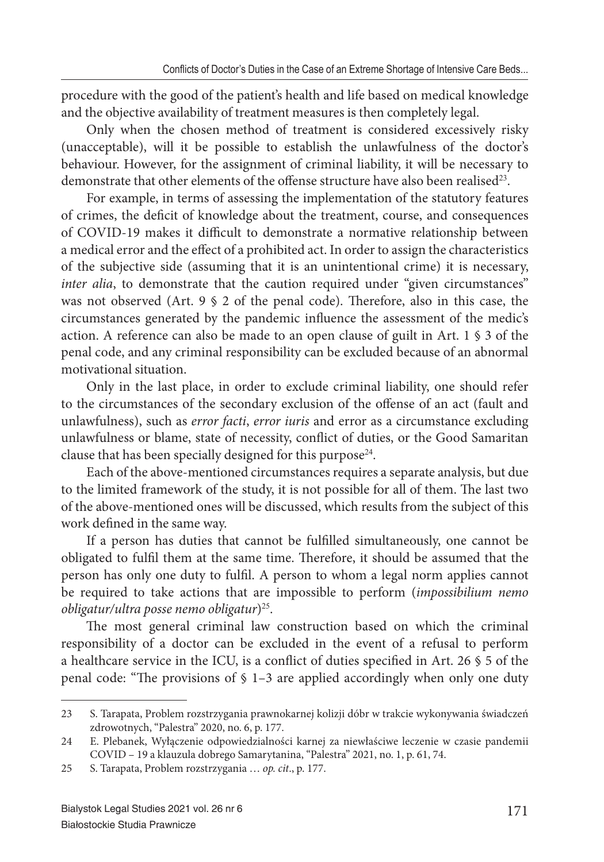procedure with the good of the patient's health and life based on medical knowledge and the objective availability of treatment measures is then completely legal.

Only when the chosen method of treatment is considered excessively risky (unacceptable), will it be possible to establish the unlawfulness of the doctor's behaviour. However, for the assignment of criminal liability, it will be necessary to demonstrate that other elements of the offense structure have also been realised<sup>23</sup>.

For example, in terms of assessing the implementation of the statutory features of crimes, the deficit of knowledge about the treatment, course, and consequences of COVID-19 makes it difficult to demonstrate a normative relationship between a medical error and the effect of a prohibited act. In order to assign the characteristics of the subjective side (assuming that it is an unintentional crime) it is necessary, *inter alia*, to demonstrate that the caution required under "given circumstances" was not observed (Art.  $9 \text{ } 9 \text{ } 2$  of the penal code). Therefore, also in this case, the circumstances generated by the pandemic influence the assessment of the medic's action. A reference can also be made to an open clause of guilt in Art. 1 § 3 of the penal code, and any criminal responsibility can be excluded because of an abnormal motivational situation.

Only in the last place, in order to exclude criminal liability, one should refer to the circumstances of the secondary exclusion of the offense of an act (fault and unlawfulness), such as *error facti*, *error iuris* and error as a circumstance excluding unlawfulness or blame, state of necessity, conflict of duties, or the Good Samaritan clause that has been specially designed for this purpose<sup>24</sup>.

Each of the above-mentioned circumstances requires a separate analysis, but due to the limited framework of the study, it is not possible for all of them. The last two of the above-mentioned ones will be discussed, which results from the subject of this work defined in the same way.

If a person has duties that cannot be fulfilled simultaneously, one cannot be obligated to fulfil them at the same time. Therefore, it should be assumed that the person has only one duty to fulfil. A person to whom a legal norm applies cannot be required to take actions that are impossible to perform (*impossibilium nemo obligatur/ultra posse nemo obligatur*)<sup>25</sup>.

The most general criminal law construction based on which the criminal responsibility of a doctor can be excluded in the event of a refusal to perform a healthcare service in the ICU, is a conflict of duties specified in Art. 26  $\frac{6}{5}$  5 of the penal code: "The provisions of  $\S$  1-3 are applied accordingly when only one duty

<sup>23</sup> S. Tarapata, Problem rozstrzygania prawnokarnej kolizji dóbr w trakcie wykonywania świadczeń zdrowotnych, "Palestra" 2020, no. 6, p. 177.

<sup>24</sup> E. Plebanek, Wyłączenie odpowiedzialności karnej za niewłaściwe leczenie w czasie pandemii COVID – 19 a klauzula dobrego Samarytanina, "Palestra" 2021, no. 1, p. 61, 74.

<sup>25</sup> S. Tarapata, Problem rozstrzygania … *op. cit*., p. 177.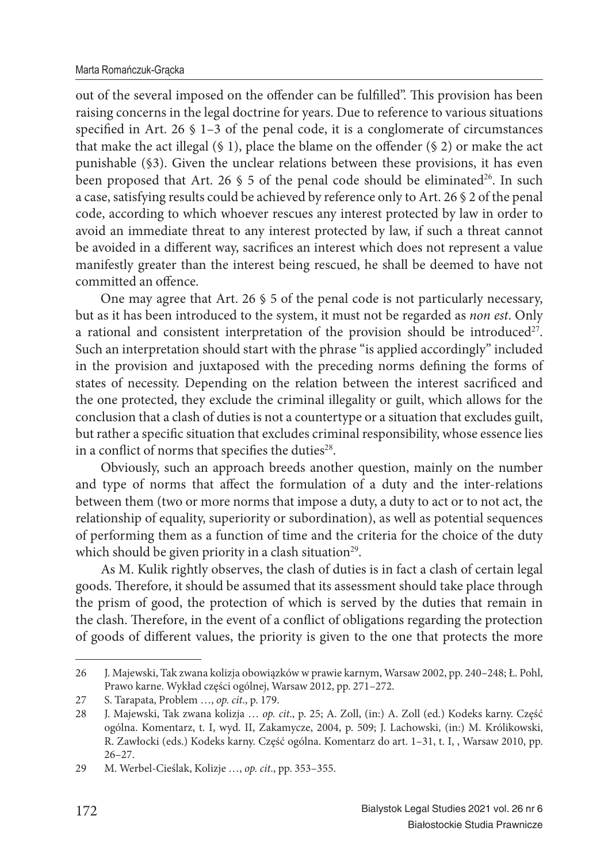out of the several imposed on the offender can be fulfilled". This provision has been raising concerns in the legal doctrine for years. Due to reference to various situations specified in Art. 26  $\S$  1-3 of the penal code, it is a conglomerate of circumstances that make the act illegal  $(§ 1)$ , place the blame on the offender  $(§ 2)$  or make the act punishable (§3). Given the unclear relations between these provisions, it has even been proposed that Art. 26  $\frac{1}{5}$  5 of the penal code should be eliminated<sup>26</sup>. In such a case, satisfying results could be achieved by reference only to Art. 26 § 2 of the penal code, according to which whoever rescues any interest protected by law in order to avoid an immediate threat to any interest protected by law, if such a threat cannot be avoided in a different way, sacrifices an interest which does not represent a value manifestly greater than the interest being rescued, he shall be deemed to have not committed an offence.

One may agree that Art. 26 § 5 of the penal code is not particularly necessary, but as it has been introduced to the system, it must not be regarded as *non est*. Only a rational and consistent interpretation of the provision should be introduced<sup>27</sup>. Such an interpretation should start with the phrase "is applied accordingly" included in the provision and juxtaposed with the preceding norms defining the forms of states of necessity. Depending on the relation between the interest sacrificed and the one protected, they exclude the criminal illegality or guilt, which allows for the conclusion that a clash of duties is not a countertype or a situation that excludes guilt, but rather a specific situation that excludes criminal responsibility, whose essence lies in a conflict of norms that specifies the duties<sup>28</sup>.

Obviously, such an approach breeds another question, mainly on the number and type of norms that affect the formulation of a duty and the inter-relations between them (two or more norms that impose a duty, a duty to act or to not act, the relationship of equality, superiority or subordination), as well as potential sequences of performing them as a function of time and the criteria for the choice of the duty which should be given priority in a clash situation<sup>29</sup>.

As M. Kulik rightly observes, the clash of duties is in fact a clash of certain legal goods. Therefore, it should be assumed that its assessment should take place through the prism of good, the protection of which is served by the duties that remain in the clash. Therefore, in the event of a conflict of obligations regarding the protection of goods of different values, the priority is given to the one that protects the more

<sup>26</sup> J. Majewski, Tak zwana kolizja obowiązków w prawie karnym, Warsaw 2002, pp. 240–248; Ł. Pohl, Prawo karne. Wykład części ogólnej, Warsaw 2012, pp. 271–272.

<sup>27</sup> S. Tarapata, Problem …, *op. cit*., p. 179.

<sup>28</sup> J. Majewski, Tak zwana kolizja … *op. cit*., p. 25; A. Zoll, (in:) A. Zoll (ed.) Kodeks karny. Część ogólna. Komentarz, t. I, wyd. II, Zakamycze, 2004, p. 509; J. Lachowski, (in:) M. Królikowski, R. Zawłocki (eds.) Kodeks karny. Część ogólna. Komentarz do art. 1–31, t. I, , Warsaw 2010, pp. 26–27.

<sup>29</sup> M. Werbel-Cieślak, Kolizje …, *op. cit*., pp. 353–355.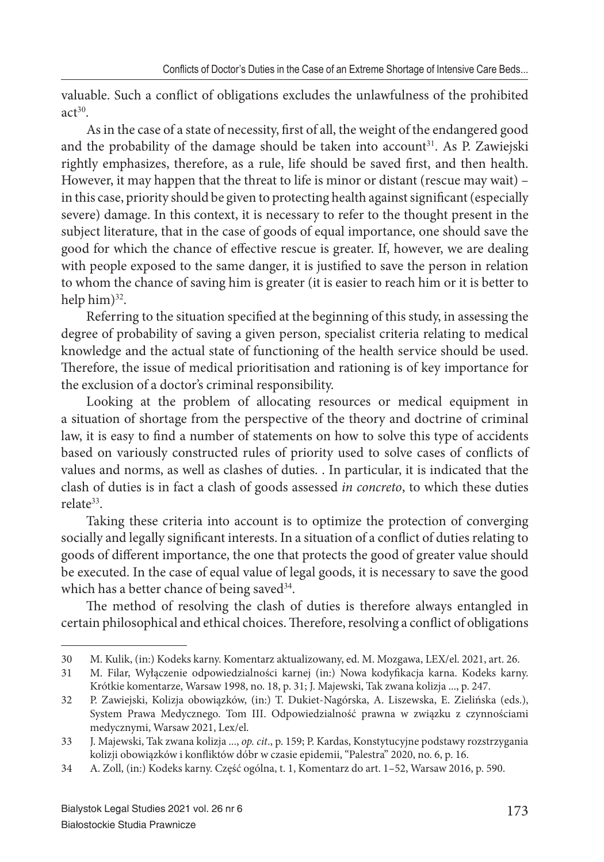valuable. Such a conflict of obligations excludes the unlawfulness of the prohibited  $act<sup>30</sup>$ 

As in the case of a state of necessity, first of all, the weight of the endangered good and the probability of the damage should be taken into account<sup>31</sup>. As P. Zawiejski rightly emphasizes, therefore, as a rule, life should be saved first, and then health. However, it may happen that the threat to life is minor or distant (rescue may wait) – in this case, priority should be given to protecting health against significant (especially severe) damage. In this context, it is necessary to refer to the thought present in the subject literature, that in the case of goods of equal importance, one should save the good for which the chance of effective rescue is greater. If, however, we are dealing with people exposed to the same danger, it is justified to save the person in relation to whom the chance of saving him is greater (it is easier to reach him or it is better to help him)<sup>32</sup>.

Referring to the situation specified at the beginning of this study, in assessing the degree of probability of saving a given person, specialist criteria relating to medical knowledge and the actual state of functioning of the health service should be used. Therefore, the issue of medical prioritisation and rationing is of key importance for the exclusion of a doctor's criminal responsibility.

Looking at the problem of allocating resources or medical equipment in a situation of shortage from the perspective of the theory and doctrine of criminal law, it is easy to find a number of statements on how to solve this type of accidents based on variously constructed rules of priority used to solve cases of conflicts of values and norms, as well as clashes of duties. . In particular, it is indicated that the clash of duties is in fact a clash of goods assessed *in concreto*, to which these duties relate<sup>33</sup>.

Taking these criteria into account is to optimize the protection of converging socially and legally significant interests. In a situation of a conflict of duties relating to goods of different importance, the one that protects the good of greater value should be executed. In the case of equal value of legal goods, it is necessary to save the good which has a better chance of being saved<sup>34</sup>.

The method of resolving the clash of duties is therefore always entangled in certain philosophical and ethical choices. Therefore, resolving a conflict of obligations

<sup>30</sup> M. Kulik, (in:) Kodeks karny. Komentarz aktualizowany, ed. M. Mozgawa, LEX/el. 2021, art. 26.

<sup>31</sup> M. Filar, Wyłączenie odpowiedzialności karnej (in:) Nowa kodyfikacja karna. Kodeks karny. Krótkie komentarze, Warsaw 1998, no. 18, p. 31; J. Majewski, Tak zwana kolizja ..., p. 247.

<sup>32</sup> P. Zawiejski, Kolizja obowiązków, (in:) T. Dukiet-Nagórska, A. Liszewska, E. Zielińska (eds.), System Prawa Medycznego. Tom III. Odpowiedzialność prawna w związku z czynnościami medycznymi, Warsaw 2021, Lex/el.

<sup>33</sup> J. Majewski, Tak zwana kolizja ..., *op. cit*., p. 159; P. Kardas, Konstytucyjne podstawy rozstrzygania kolizji obowiązków i konfliktów dóbr w czasie epidemii, "Palestra" 2020, no. 6, p. 16.

<sup>34</sup> A. Zoll, (in:) Kodeks karny. Część ogólna, t. 1, Komentarz do art. 1–52, Warsaw 2016, p. 590.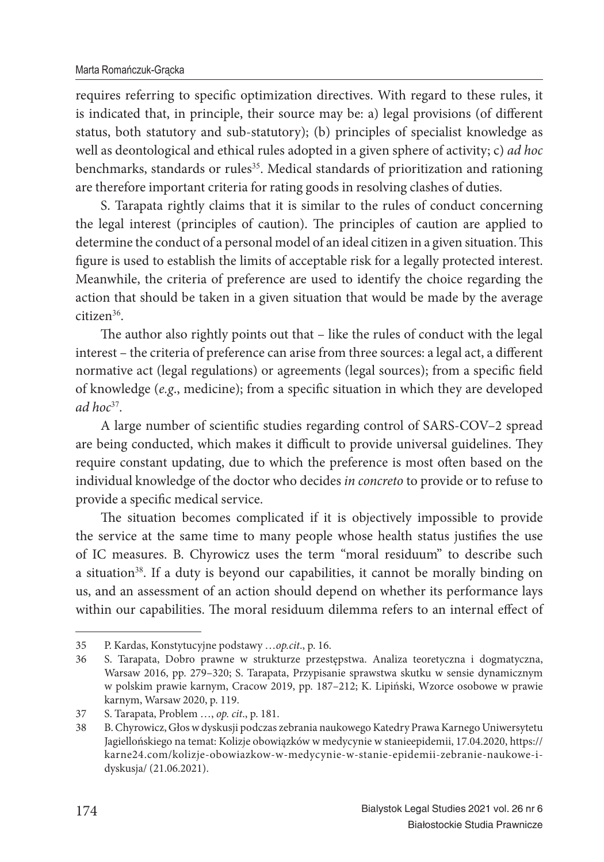requires referring to specific optimization directives. With regard to these rules, it is indicated that, in principle, their source may be: a) legal provisions (of different status, both statutory and sub-statutory); (b) principles of specialist knowledge as well as deontological and ethical rules adopted in a given sphere of activity; c) *ad hoc* benchmarks, standards or rules<sup>35</sup>. Medical standards of prioritization and rationing are therefore important criteria for rating goods in resolving clashes of duties.

S. Tarapata rightly claims that it is similar to the rules of conduct concerning the legal interest (principles of caution). The principles of caution are applied to determine the conduct of a personal model of an ideal citizen in a given situation. This figure is used to establish the limits of acceptable risk for a legally protected interest. Meanwhile, the criteria of preference are used to identify the choice regarding the action that should be taken in a given situation that would be made by the average citizen<sup>36</sup>.

The author also rightly points out that – like the rules of conduct with the legal interest – the criteria of preference can arise from three sources: a legal act, a different normative act (legal regulations) or agreements (legal sources); from a specific field of knowledge (e.g., medicine); from a specific situation in which they are developed *ad hoc*<sup>37</sup>.

A large number of scientific studies regarding control of SARS-COV-2 spread are being conducted, which makes it difficult to provide universal guidelines. They require constant updating, due to which the preference is most often based on the individual knowledge of the doctor who decides *in concreto* to provide or to refuse to provide a specific medical service.

The situation becomes complicated if it is objectively impossible to provide the service at the same time to many people whose health status justifies the use of IC measures. B. Chyrowicz uses the term "moral residuum" to describe such a situation<sup>38</sup>. If a duty is beyond our capabilities, it cannot be morally binding on us, and an assessment of an action should depend on whether its performance lays within our capabilities. The moral residuum dilemma refers to an internal effect of

<sup>35</sup> P. Kardas, Konstytucyjne podstawy …*op.cit*., p. 16.

<sup>36</sup> S. Tarapata, Dobro prawne w strukturze przestępstwa. Analiza teoretyczna i dogmatyczna, Warsaw 2016, pp. 279–320; S. Tarapata, Przypisanie sprawstwa skutku w sensie dynamicznym w polskim prawie karnym, Cracow 2019, pp. 187–212; K. Lipiński, Wzorce osobowe w prawie karnym, Warsaw 2020, p. 119.

<sup>37</sup> S. Tarapata, Problem …, *op. cit*., p. 181.

<sup>38</sup> B. Chyrowicz, Głos w dyskusji podczas zebrania naukowego Katedry Prawa Karnego Uniwersytetu Jagiellońskiego na temat: Kolizje obowiązków w medycynie w stanieepidemii, 17.04.2020, https:// karne24.com/kolizje-obowiazkow-w-medycynie-w-stanie-epidemii-zebranie-naukowe-idyskusja/ (21.06.2021).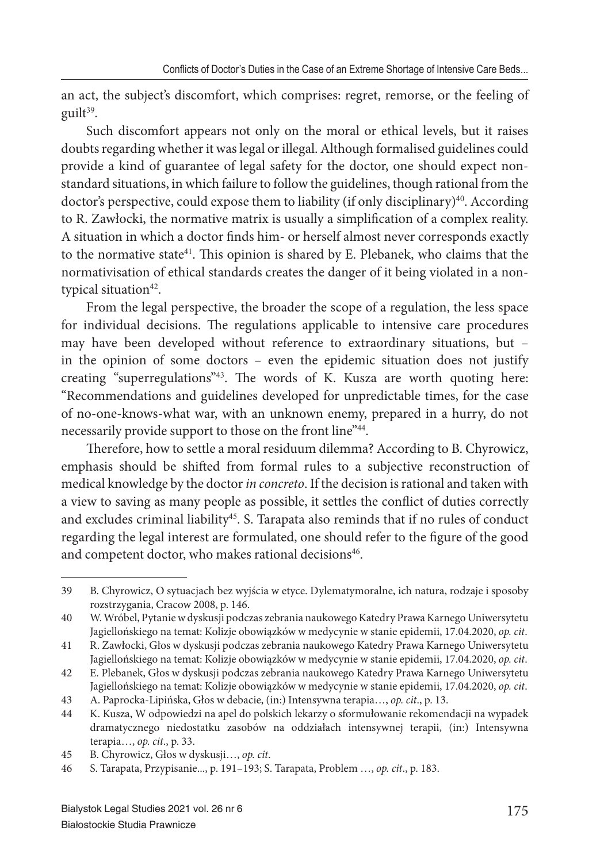an act, the subject's discomfort, which comprises: regret, remorse, or the feeling of guilt<sup>39</sup>.

Such discomfort appears not only on the moral or ethical levels, but it raises doubts regarding whether it was legal or illegal. Although formalised guidelines could provide a kind of guarantee of legal safety for the doctor, one should expect nonstandard situations, in which failure to follow the guidelines, though rational from the doctor's perspective, could expose them to liability (if only disciplinary)<sup>40</sup>. According to R. Zawłocki, the normative matrix is usually a simplification of a complex reality. A situation in which a doctor finds him- or herself almost never corresponds exactly to the normative state<sup>41</sup>. This opinion is shared by E. Plebanek, who claims that the normativisation of ethical standards creates the danger of it being violated in a nontypical situation<sup>42</sup>.

From the legal perspective, the broader the scope of a regulation, the less space for individual decisions. The regulations applicable to intensive care procedures may have been developed without reference to extraordinary situations, but – in the opinion of some doctors – even the epidemic situation does not justify creating "superregulations"<sup>43</sup>. The words of K. Kusza are worth quoting here: "Recommendations and guidelines developed for unpredictable times, for the case of no-one-knows-what war, with an unknown enemy, prepared in a hurry, do not necessarily provide support to those on the front line"<sup>44</sup>.

Therefore, how to settle a moral residuum dilemma? According to B. Chyrowicz, emphasis should be shifted from formal rules to a subjective reconstruction of medical knowledge by the doctor *in concreto*. If the decision is rational and taken with a view to saving as many people as possible, it settles the conflict of duties correctly and excludes criminal liability<sup>45</sup>. S. Tarapata also reminds that if no rules of conduct regarding the legal interest are formulated, one should refer to the figure of the good and competent doctor, who makes rational decisions<sup>46</sup>.

<sup>39</sup> B. Chyrowicz, O sytuacjach bez wyjścia w etyce. Dylematymoralne, ich natura, rodzaje i sposoby rozstrzygania, Cracow 2008, p. 146.

<sup>40</sup> W. Wróbel, Pytanie w dyskusji podczas zebrania naukowego Katedry Prawa Karnego Uniwersytetu Jagiellońskiego na temat: Kolizje obowiązków w medycynie w stanie epidemii, 17.04.2020, *op. cit*.

<sup>41</sup> R. Zawłocki, Głos w dyskusji podczas zebrania naukowego Katedry Prawa Karnego Uniwersytetu Jagiellońskiego na temat: Kolizje obowiązków w medycynie w stanie epidemii, 17.04.2020, *op. cit*.

<sup>42</sup> E. Plebanek, Głos w dyskusji podczas zebrania naukowego Katedry Prawa Karnego Uniwersytetu Jagiellońskiego na temat: Kolizje obowiązków w medycynie w stanie epidemii, 17.04.2020, *op. cit*.

<sup>43</sup> A. Paprocka-Lipińska, Głos w debacie, (in:) Intensywna terapia…, *op. cit*., p. 13.

<sup>44</sup> K. Kusza, W odpowiedzi na apel do polskich lekarzy o sformułowanie rekomendacji na wypadek dramatycznego niedostatku zasobów na oddziałach intensywnej terapii, (in:) Intensywna terapia…, *op. cit*., p. 33.

<sup>45</sup> B. Chyrowicz, Głos w dyskusji…, *op. cit*.

<sup>46</sup> S. Tarapata, Przypisanie..., p. 191–193; S. Tarapata, Problem …, *op. cit*., p. 183.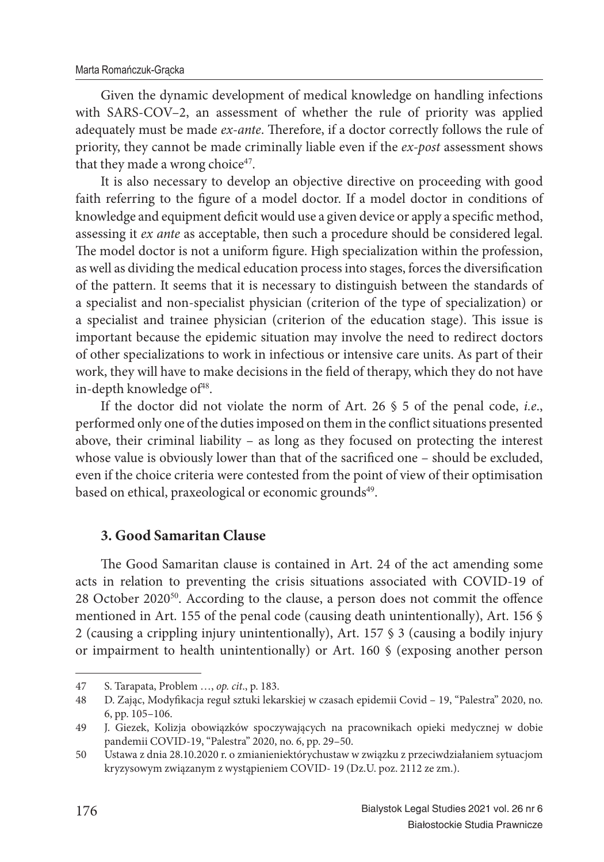Given the dynamic development of medical knowledge on handling infections with SARS-COV–2, an assessment of whether the rule of priority was applied adequately must be made *ex-ante*. Therefore, if a doctor correctly follows the rule of priority, they cannot be made criminally liable even if the *ex-post* assessment shows that they made a wrong choice<sup>47</sup>.

It is also necessary to develop an objective directive on proceeding with good faith referring to the figure of a model doctor. If a model doctor in conditions of knowledge and equipment deficit would use a given device or apply a specific method, assessing it *ex ante* as acceptable, then such a procedure should be considered legal. The model doctor is not a uniform figure. High specialization within the profession, as well as dividing the medical education process into stages, forces the diversification of the pattern. It seems that it is necessary to distinguish between the standards of a specialist and non-specialist physician (criterion of the type of specialization) or a specialist and trainee physician (criterion of the education stage). This issue is important because the epidemic situation may involve the need to redirect doctors of other specializations to work in infectious or intensive care units. As part of their work, they will have to make decisions in the field of therapy, which they do not have in-depth knowledge of $48$ .

If the doctor did not violate the norm of Art. 26 § 5 of the penal code, *i.e*., performed only one of the duties imposed on them in the conflict situations presented above, their criminal liability – as long as they focused on protecting the interest whose value is obviously lower than that of the sacrificed one - should be excluded, even if the choice criteria were contested from the point of view of their optimisation based on ethical, praxeological or economic grounds<sup>49</sup>.

### **3. Good Samaritan Clause**

The Good Samaritan clause is contained in Art. 24 of the act amending some acts in relation to preventing the crisis situations associated with COVID-19 of  $28$  October 2020<sup>50</sup>. According to the clause, a person does not commit the offence mentioned in Art. 155 of the penal code (causing death unintentionally), Art. 156 § 2 (causing a crippling injury unintentionally), Art. 157 § 3 (causing a bodily injury or impairment to health unintentionally) or Art. 160 § (exposing another person

<sup>47</sup> S. Tarapata, Problem …, *op. cit*., p. 183.

<sup>48</sup> D. Zając, Modyfi kacja reguł sztuki lekarskiej w czasach epidemii Covid – 19, "Palestra" 2020, no. 6, pp. 105–106.

<sup>49</sup> J. Giezek, Kolizja obowiązków spoczywających na pracownikach opieki medycznej w dobie pandemii COVID-19, "Palestra" 2020, no. 6, pp. 29–50.

<sup>50</sup> Ustawa z dnia 28.10.2020 r. o zmianieniektórychustaw w związku z przeciwdziałaniem sytuacjom kryzysowym związanym z wystąpieniem COVID- 19 (Dz.U. poz. 2112 ze zm.).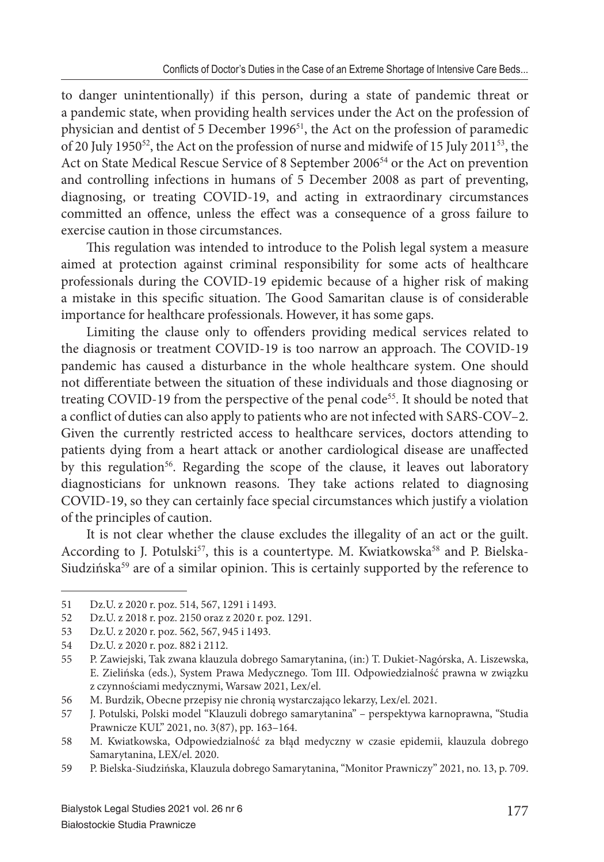to danger unintentionally) if this person, during a state of pandemic threat or a pandemic state, when providing health services under the Act on the profession of physician and dentist of 5 December 1996<sup>51</sup>, the Act on the profession of paramedic of 20 July 1950<sup>52</sup>, the Act on the profession of nurse and midwife of 15 July 2011<sup>53</sup>, the Act on State Medical Rescue Service of 8 September 2006<sup>54</sup> or the Act on prevention and controlling infections in humans of 5 December 2008 as part of preventing, diagnosing, or treating COVID-19, and acting in extraordinary circumstances committed an offence, unless the effect was a consequence of a gross failure to exercise caution in those circumstances.

This regulation was intended to introduce to the Polish legal system a measure aimed at protection against criminal responsibility for some acts of healthcare professionals during the COVID-19 epidemic because of a higher risk of making a mistake in this specific situation. The Good Samaritan clause is of considerable importance for healthcare professionals. However, it has some gaps.

Limiting the clause only to offenders providing medical services related to the diagnosis or treatment COVID-19 is too narrow an approach. The COVID-19 pandemic has caused a disturbance in the whole healthcare system. One should not differentiate between the situation of these individuals and those diagnosing or treating COVID-19 from the perspective of the penal code<sup>55</sup>. It should be noted that a conflict of duties can also apply to patients who are not infected with SARS-COV–2. Given the currently restricted access to healthcare services, doctors attending to patients dying from a heart attack or another cardiological disease are unaffected by this regulation<sup>56</sup>. Regarding the scope of the clause, it leaves out laboratory diagnosticians for unknown reasons. They take actions related to diagnosing COVID-19, so they can certainly face special circumstances which justify a violation of the principles of caution.

It is not clear whether the clause excludes the illegality of an act or the guilt. According to J. Potulski<sup>57</sup>, this is a countertype. M. Kwiatkowska<sup>58</sup> and P. Bielska-Siudzińska<sup>59</sup> are of a similar opinion. This is certainly supported by the reference to

<sup>51</sup> Dz.U. z 2020 r. poz. 514, 567, 1291 i 1493.

<sup>52</sup> Dz.U. z 2018 r. poz. 2150 oraz z 2020 r. poz. 1291.

<sup>53</sup> Dz.U. z 2020 r. poz. 562, 567, 945 i 1493.

<sup>54</sup> Dz.U. z 2020 r. poz. 882 i 2112.

<sup>55</sup> P. Zawiejski, Tak zwana klauzula dobrego Samarytanina, (in:) T. Dukiet-Nagórska, A. Liszewska, E. Zielińska (eds.), System Prawa Medycznego. Tom III. Odpowiedzialność prawna w związku z czynnościami medycznymi, Warsaw 2021, Lex/el.

<sup>56</sup> M. Burdzik, Obecne przepisy nie chronią wystarczająco lekarzy, Lex/el. 2021.

<sup>57</sup> J. Potulski, Polski model "Klauzuli dobrego samarytanina" – perspektywa karnoprawna, "Studia Prawnicze KUL" 2021, no. 3(87), pp. 163–164.

<sup>58</sup> M. Kwiatkowska, Odpowiedzialność za błąd medyczny w czasie epidemii, klauzula dobrego Samarytanina, LEX/el. 2020.

<sup>59</sup> P. Bielska-Siudzińska, Klauzula dobrego Samarytanina, "Monitor Prawniczy" 2021, no. 13, p. 709.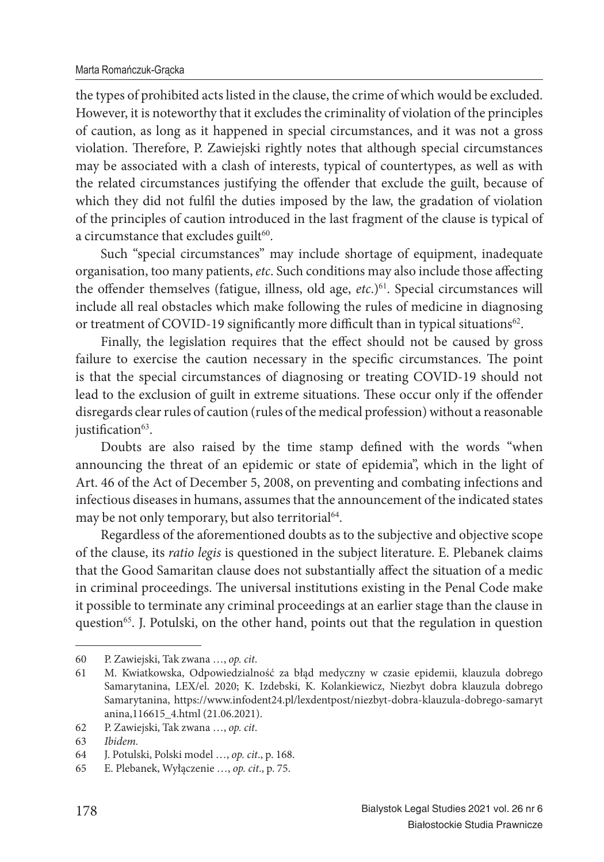#### Marta Romańczuk-Grącka

the types of prohibited acts listed in the clause, the crime of which would be excluded. However, it is noteworthy that it excludes the criminality of violation of the principles of caution, as long as it happened in special circumstances, and it was not a gross violation. Therefore, P. Zawiejski rightly notes that although special circumstances may be associated with a clash of interests, typical of countertypes, as well as with the related circumstances justifying the offender that exclude the guilt, because of which they did not fulfil the duties imposed by the law, the gradation of violation of the principles of caution introduced in the last fragment of the clause is typical of a circumstance that excludes guilt $60$ .

Such "special circumstances" may include shortage of equipment, inadequate organisation, too many patients, *etc*. Such conditions may also include those affecting the offender themselves (fatigue, illness, old age, *etc.*)<sup>61</sup>. Special circumstances will include all real obstacles which make following the rules of medicine in diagnosing or treatment of COVID-19 significantly more difficult than in typical situations<sup>62</sup>.

Finally, the legislation requires that the effect should not be caused by gross failure to exercise the caution necessary in the specific circumstances. The point is that the special circumstances of diagnosing or treating COVID-19 should not lead to the exclusion of guilt in extreme situations. These occur only if the offender disregards clear rules of caution (rules of the medical profession) without a reasonable justification<sup>63</sup>.

Doubts are also raised by the time stamp defined with the words "when announcing the threat of an epidemic or state of epidemia", which in the light of Art. 46 of the Act of December 5, 2008, on preventing and combating infections and infectious diseases in humans, assumes that the announcement of the indicated states may be not only temporary, but also territorial<sup>64</sup>.

Regardless of the aforementioned doubts as to the subjective and objective scope of the clause, its *ratio legis* is questioned in the subject literature. E. Plebanek claims that the Good Samaritan clause does not substantially affect the situation of a medic in criminal proceedings. The universal institutions existing in the Penal Code make it possible to terminate any criminal proceedings at an earlier stage than the clause in question<sup>65</sup>. J. Potulski, on the other hand, points out that the regulation in question

<sup>60</sup> P. Zawiejski, Tak zwana …, *op. cit*.

<sup>61</sup> M. Kwiatkowska, Odpowiedzialność za błąd medyczny w czasie epidemii, klauzula dobrego Samarytanina, LEX/el. 2020; K. Izdebski, K. Kolankiewicz, Niezbyt dobra klauzula dobrego Samarytanina, https://www.infodent24.pl/lexdentpost/niezbyt-dobra-klauzula-dobrego-samaryt anina,116615\_4.html (21.06.2021).

<sup>62</sup> P. Zawiejski, Tak zwana …, *op. cit*.

<sup>63</sup> *Ibidem.*

<sup>64</sup> J. Potulski, Polski model …, *op. cit*., p. 168.

<sup>65</sup> E. Plebanek, Wyłączenie …, *op. cit*., p. 75.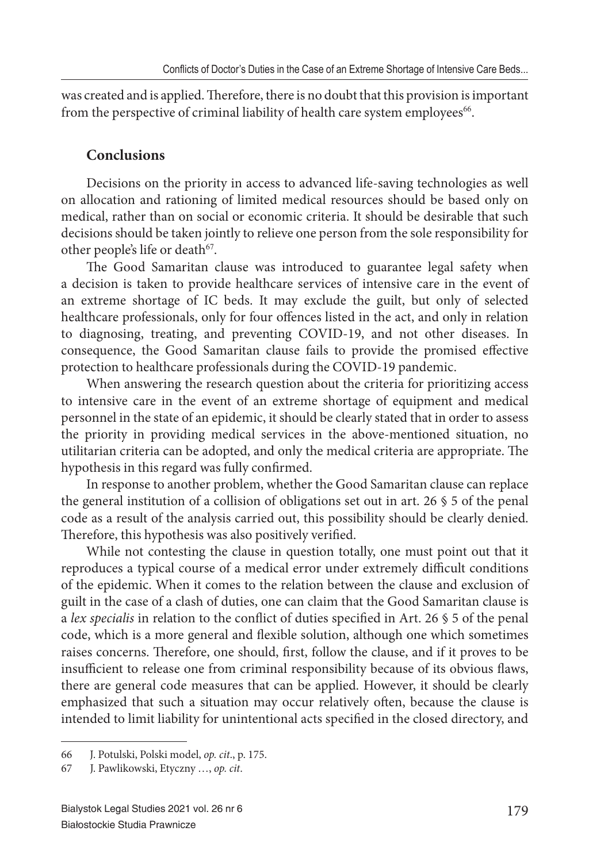was created and is applied. Therefore, there is no doubt that this provision is important from the perspective of criminal liability of health care system employees<sup>66</sup>.

## **Conclusions**

Decisions on the priority in access to advanced life-saving technologies as well on allocation and rationing of limited medical resources should be based only on medical, rather than on social or economic criteria. It should be desirable that such decisions should be taken jointly to relieve one person from the sole responsibility for other people's life or death<sup>67</sup>.

The Good Samaritan clause was introduced to guarantee legal safety when a decision is taken to provide healthcare services of intensive care in the event of an extreme shortage of IC beds. It may exclude the guilt, but only of selected healthcare professionals, only for four offences listed in the act, and only in relation to diagnosing, treating, and preventing COVID-19, and not other diseases. In consequence, the Good Samaritan clause fails to provide the promised effective protection to healthcare professionals during the COVID-19 pandemic.

When answering the research question about the criteria for prioritizing access to intensive care in the event of an extreme shortage of equipment and medical personnel in the state of an epidemic, it should be clearly stated that in order to assess the priority in providing medical services in the above-mentioned situation, no utilitarian criteria can be adopted, and only the medical criteria are appropriate. The hypothesis in this regard was fully confirmed.

In response to another problem, whether the Good Samaritan clause can replace the general institution of a collision of obligations set out in art. 26 § 5 of the penal code as a result of the analysis carried out, this possibility should be clearly denied. Therefore, this hypothesis was also positively verified.

While not contesting the clause in question totally, one must point out that it reproduces a typical course of a medical error under extremely difficult conditions of the epidemic. When it comes to the relation between the clause and exclusion of guilt in the case of a clash of duties, one can claim that the Good Samaritan clause is a *lex specialis* in relation to the conflict of duties specified in Art. 26 § 5 of the penal code, which is a more general and flexible solution, although one which sometimes raises concerns. Therefore, one should, first, follow the clause, and if it proves to be insufficient to release one from criminal responsibility because of its obvious flaws, there are general code measures that can be applied. However, it should be clearly emphasized that such a situation may occur relatively often, because the clause is intended to limit liability for unintentional acts specified in the closed directory, and

<sup>66</sup> J. Potulski, Polski model, *op. cit*., p. 175.

<sup>67</sup> J. Pawlikowski, Etyczny …, *op. cit*.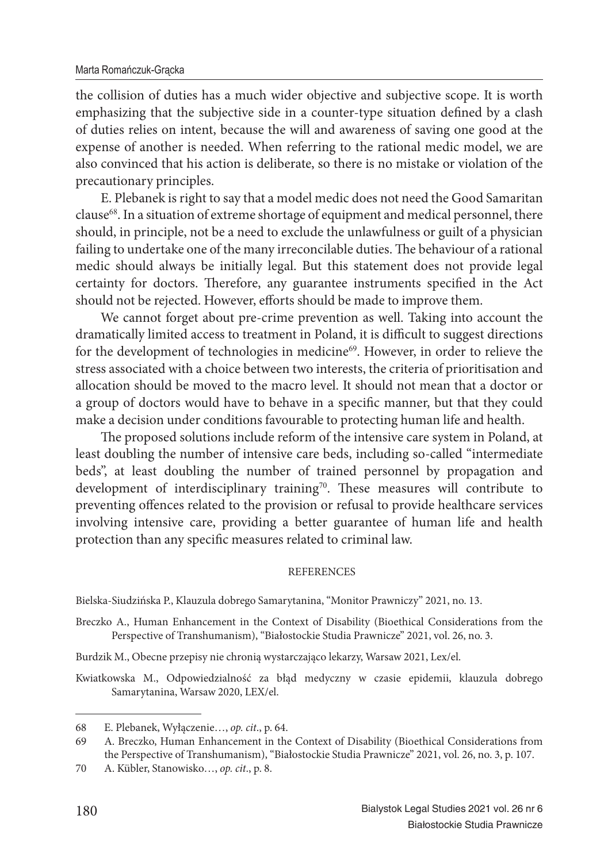the collision of duties has a much wider objective and subjective scope. It is worth emphasizing that the subjective side in a counter-type situation defined by a clash of duties relies on intent, because the will and awareness of saving one good at the expense of another is needed. When referring to the rational medic model, we are also convinced that his action is deliberate, so there is no mistake or violation of the precautionary principles.

E. Plebanek is right to say that a model medic does not need the Good Samaritan clause<sup>68</sup>. In a situation of extreme shortage of equipment and medical personnel, there should, in principle, not be a need to exclude the unlawfulness or guilt of a physician failing to undertake one of the many irreconcilable duties. The behaviour of a rational medic should always be initially legal. But this statement does not provide legal certainty for doctors. Therefore, any guarantee instruments specified in the Act should not be rejected. However, efforts should be made to improve them.

We cannot forget about pre-crime prevention as well. Taking into account the dramatically limited access to treatment in Poland, it is difficult to suggest directions for the development of technologies in medicine<sup>69</sup>. However, in order to relieve the stress associated with a choice between two interests, the criteria of prioritisation and allocation should be moved to the macro level. It should not mean that a doctor or a group of doctors would have to behave in a specific manner, but that they could make a decision under conditions favourable to protecting human life and health.

The proposed solutions include reform of the intensive care system in Poland, at least doubling the number of intensive care beds, including so-called "intermediate beds", at least doubling the number of trained personnel by propagation and development of interdisciplinary training<sup>70</sup>. These measures will contribute to preventing offences related to the provision or refusal to provide healthcare services involving intensive care, providing a better guarantee of human life and health protection than any specific measures related to criminal law.

### **REFERENCES**

Bielska-Siudzińska P., Klauzula dobrego Samarytanina, "Monitor Prawniczy" 2021, no. 13.

- Breczko A., Human Enhancement in the Context of Disability (Bioethical Considerations from the Perspective of Transhumanism), "Białostockie Studia Prawnicze" 2021, vol. 26, no. 3.
- Burdzik M., Obecne przepisy nie chronią wystarczająco lekarzy, Warsaw 2021, Lex/el.

Kwiatkowska M., Odpowiedzialność za błąd medyczny w czasie epidemii, klauzula dobrego Samarytanina, Warsaw 2020, LEX/el.

<sup>68</sup> E. Plebanek, Wyłączenie…, *op. cit*., p. 64.

<sup>69</sup> A. Breczko, Human Enhancement in the Context of Disability (Bioethical Considerations from the Perspective of Transhumanism), "Białostockie Studia Prawnicze" 2021, vol. 26, no. 3, p. 107.

<sup>70</sup> A. Kübler, Stanowisko…, *op. cit*., p. 8.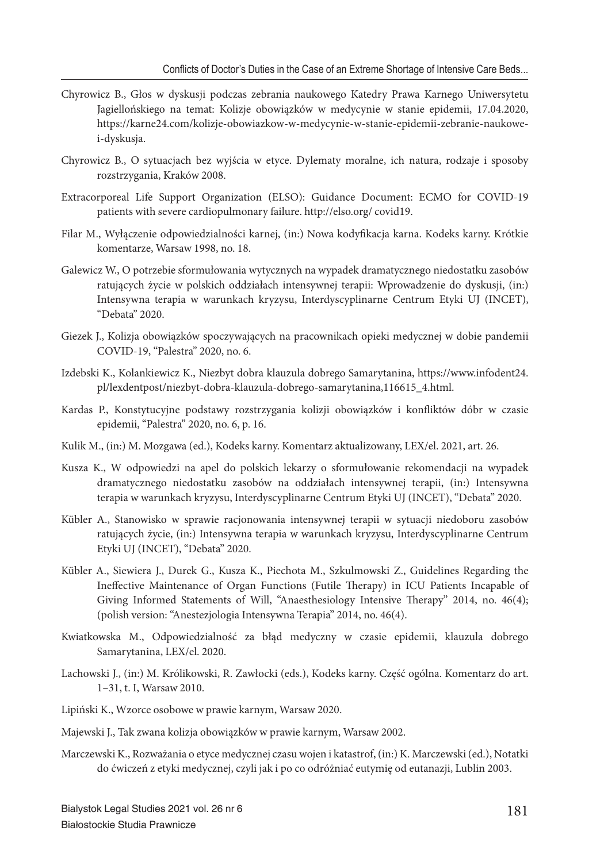- Chyrowicz B., Głos w dyskusji podczas zebrania naukowego Katedry Prawa Karnego Uniwersytetu Jagiellońskiego na temat: Kolizje obowiązków w medycynie w stanie epidemii, 17.04.2020, https://karne24.com/kolizje-obowiazkow-w-medycynie-w-stanie-epidemii-zebranie-naukowei-dyskusja.
- Chyrowicz B., O sytuacjach bez wyjścia w etyce. Dylematy moralne, ich natura, rodzaje i sposoby rozstrzygania, Kraków 2008.
- Extracorporeal Life Support Organization (ELSO): Guidance Document: ECMO for COVID-19 patients with severe cardiopulmonary failure. http://elso.org/ covid19.
- Filar M., Wyłączenie odpowiedzialności karnej, (in:) Nowa kodyfikacja karna. Kodeks karny. Krótkie komentarze, Warsaw 1998, no. 18.
- Galewicz W., O potrzebie sformułowania wytycznych na wypadek dramatycznego niedostatku zasobów ratujących życie w polskich oddziałach intensywnej terapii: Wprowadzenie do dyskusji, (in:) Intensywna terapia w warunkach kryzysu, Interdyscyplinarne Centrum Etyki UJ (INCET), "Debata" 2020.
- Giezek J., Kolizja obowiązków spoczywających na pracownikach opieki medycznej w dobie pandemii COVID-19, "Palestra" 2020, no. 6.
- Izdebski K., Kolankiewicz K., Niezbyt dobra klauzula dobrego Samarytanina, https://www.infodent24. pl/lexdentpost/niezbyt-dobra-klauzula-dobrego-samarytanina,116615\_4.html.
- Kardas P., Konstytucyjne podstawy rozstrzygania kolizji obowiązków i konfliktów dóbr w czasie epidemii, "Palestra" 2020, no. 6, p. 16.
- Kulik M., (in:) M. Mozgawa (ed.), Kodeks karny. Komentarz aktualizowany, LEX/el. 2021, art. 26.
- Kusza K., W odpowiedzi na apel do polskich lekarzy o sformułowanie rekomendacji na wypadek dramatycznego niedostatku zasobów na oddziałach intensywnej terapii, (in:) Intensywna terapia w warunkach kryzysu, Interdyscyplinarne Centrum Etyki UJ (INCET), "Debata" 2020.
- Kübler A., Stanowisko w sprawie racjonowania intensywnej terapii w sytuacji niedoboru zasobów ratujących życie, (in:) Intensywna terapia w warunkach kryzysu, Interdyscyplinarne Centrum Etyki UJ (INCET), "Debata" 2020.
- Kübler A., Siewiera J., Durek G., Kusza K., Piechota M., Szkulmowski Z., Guidelines Regarding the Ineffective Maintenance of Organ Functions (Futile Therapy) in ICU Patients Incapable of Giving Informed Statements of Will, "Anaesthesiology Intensive Therapy" 2014, no. 46(4); (polish version: "Anestezjologia Intensywna Terapia" 2014, no. 46(4).
- Kwiatkowska M., Odpowiedzialność za błąd medyczny w czasie epidemii, klauzula dobrego Samarytanina, LEX/el. 2020.
- Lachowski J., (in:) M. Królikowski, R. Zawłocki (eds.), Kodeks karny. Część ogólna. Komentarz do art. 1–31, t. I, Warsaw 2010.
- Lipiński K., Wzorce osobowe w prawie karnym, Warsaw 2020.
- Majewski J., Tak zwana kolizja obowiązków w prawie karnym, Warsaw 2002.
- Marczewski K., Rozważania o etyce medycznej czasu wojen i katastrof, (in:) K. Marczewski (ed.), Notatki do ćwiczeń z etyki medycznej, czyli jak i po co odróżniać eutymię od eutanazji, Lublin 2003.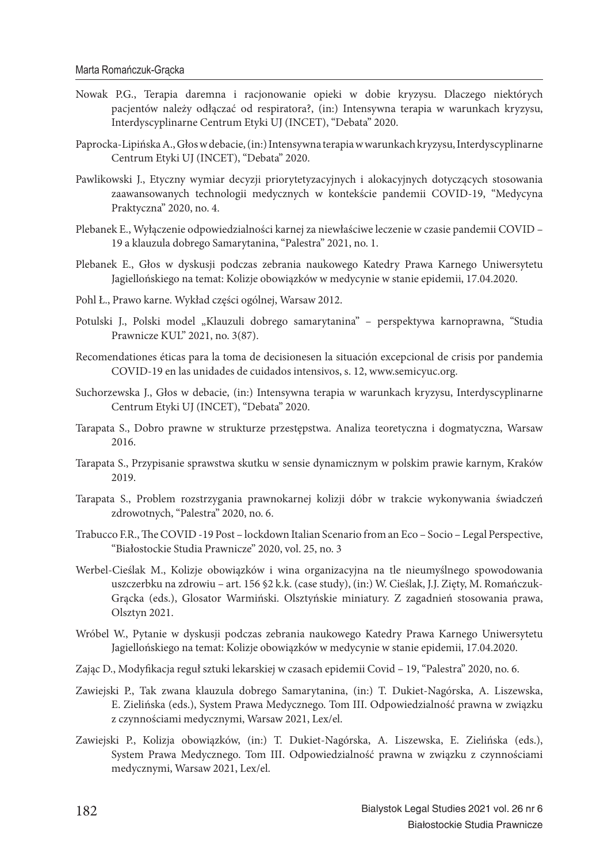- Nowak P.G., Terapia daremna i racjonowanie opieki w dobie kryzysu. Dlaczego niektórych pacjentów należy odłączać od respiratora?, (in:) Intensywna terapia w warunkach kryzysu, Interdyscyplinarne Centrum Etyki UJ (INCET), "Debata" 2020.
- Paprocka-Lipińska A., Głos w debacie, (in:) Intensywna terapia w warunkach kryzysu, Interdyscyplinarne Centrum Etyki UJ (INCET), "Debata" 2020.
- Pawlikowski J., Etyczny wymiar decyzji priorytetyzacyjnych i alokacyjnych dotyczących stosowania zaawansowanych technologii medycznych w kontekście pandemii COVID-19, "Medycyna Praktyczna" 2020, no. 4.
- Plebanek E., Wyłączenie odpowiedzialności karnej za niewłaściwe leczenie w czasie pandemii COVID 19 a klauzula dobrego Samarytanina, "Palestra" 2021, no. 1.
- Plebanek E., Głos w dyskusji podczas zebrania naukowego Katedry Prawa Karnego Uniwersytetu Jagiellońskiego na temat: Kolizje obowiązków w medycynie w stanie epidemii, 17.04.2020.
- Pohl Ł., Prawo karne. Wykład części ogólnej, Warsaw 2012.
- Potulski J., Polski model "Klauzuli dobrego samarytanina" perspektywa karnoprawna, "Studia Prawnicze KUL" 2021, no. 3(87).
- Recomendationes éticas para la toma de decisionesen la situación excepcional de crisis por pandemia COVID-19 en las unidades de cuidados intensivos, s. 12, www.semicyuc.org.
- Suchorzewska J., Głos w debacie, (in:) Intensywna terapia w warunkach kryzysu, Interdyscyplinarne Centrum Etyki UJ (INCET), "Debata" 2020.
- Tarapata S., Dobro prawne w strukturze przestępstwa. Analiza teoretyczna i dogmatyczna, Warsaw 2016.
- Tarapata S., Przypisanie sprawstwa skutku w sensie dynamicznym w polskim prawie karnym, Kraków 2019.
- Tarapata S., Problem rozstrzygania prawnokarnej kolizji dóbr w trakcie wykonywania świadczeń zdrowotnych, "Palestra" 2020, no. 6.
- Trabucco F.R., The COVID -19 Post lockdown Italian Scenario from an Eco Socio Legal Perspective, "Białostockie Studia Prawnicze" 2020, vol. 25, no. 3
- Werbel-Cieślak M., Kolizje obowiązków i wina organizacyjna na tle nieumyślnego spowodowania uszczerbku na zdrowiu – art. 156 §2 k.k. (case study), (in:) W. Cieślak, J.J. Zięty, M. Romańczuk-Grącka (eds.), Glosator Warmiński. Olsztyńskie miniatury. Z zagadnień stosowania prawa, Olsztyn 2021.
- Wróbel W., Pytanie w dyskusji podczas zebrania naukowego Katedry Prawa Karnego Uniwersytetu Jagiellońskiego na temat: Kolizje obowiązków w medycynie w stanie epidemii, 17.04.2020.
- Zając D., Modyfikacja reguł sztuki lekarskiej w czasach epidemii Covid 19, "Palestra" 2020, no. 6.
- Zawiejski P., Tak zwana klauzula dobrego Samarytanina, (in:) T. Dukiet-Nagórska, A. Liszewska, E. Zielińska (eds.), System Prawa Medycznego. Tom III. Odpowiedzialność prawna w związku z czynnościami medycznymi, Warsaw 2021, Lex/el.
- Zawiejski P., Kolizja obowiązków, (in:) T. Dukiet-Nagórska, A. Liszewska, E. Zielińska (eds.), System Prawa Medycznego. Tom III. Odpowiedzialność prawna w związku z czynnościami medycznymi, Warsaw 2021, Lex/el.